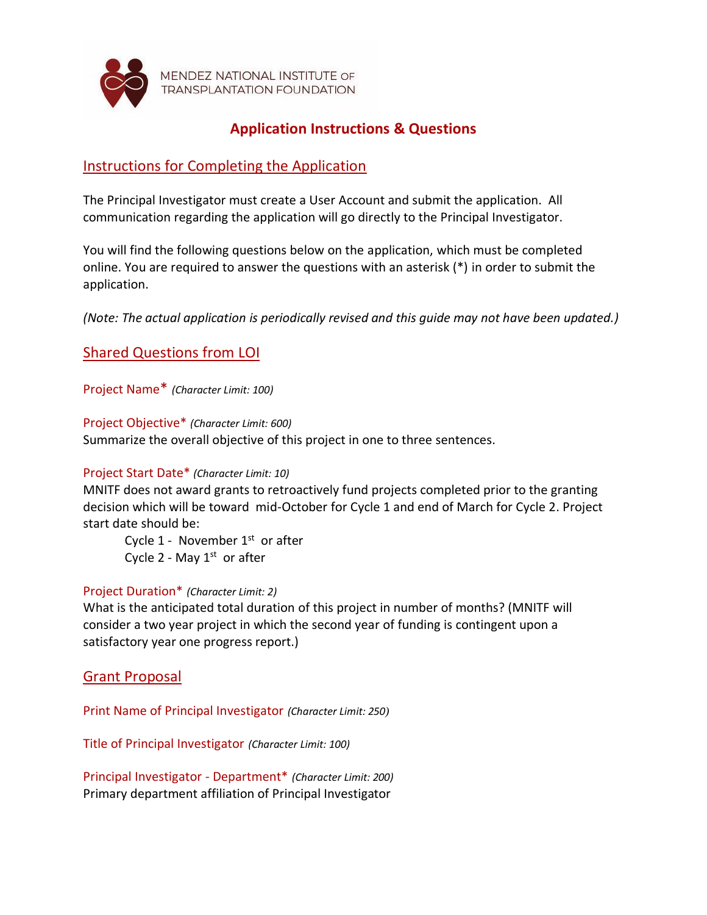

MENDEZ NATIONAL INSTITUTE OF **TRANSPLANTATION FOUNDATION** 

# **Application Instructions & Questions**

# Instructions for Completing the Application

The Principal Investigator must create a User Account and submit the application. All communication regarding the application will go directly to the Principal Investigator.

You will find the following questions below on the application, which must be completed online. You are required to answer the questions with an asterisk (\*) in order to submit the application.

*(Note: The actual application is periodically revised and this guide may not have been updated.)*

# Shared Questions from LOI

Project Name\* *(Character Limit: 100)*

Project Objective\* *(Character Limit: 600)* Summarize the overall objective of this project in one to three sentences.

## Project Start Date\* *(Character Limit: 10)*

MNITF does not award grants to retroactively fund projects completed prior to the granting decision which will be toward mid-October for Cycle 1 and end of March for Cycle 2. Project start date should be:

Cycle  $1$  - November  $1<sup>st</sup>$  or after Cycle 2 - May  $1<sup>st</sup>$  or after

## Project Duration\* *(Character Limit: 2)*

What is the anticipated total duration of this project in number of months? (MNITF will consider a two year project in which the second year of funding is contingent upon a satisfactory year one progress report.)

## Grant Proposal

Print Name of Principal Investigator *(Character Limit: 250)*

Title of Principal Investigator *(Character Limit: 100)*

Principal Investigator - Department\* *(Character Limit: 200)* Primary department affiliation of Principal Investigator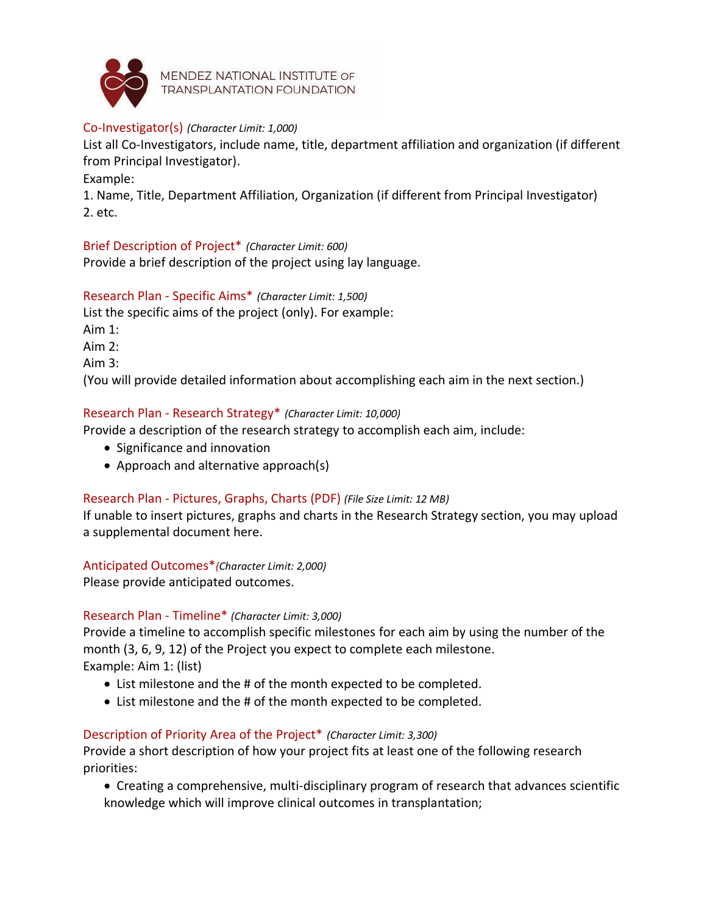

MENDEZ NATIONAL INSTITUTE OF **TRANSPLANTATION FOUNDATION** 

### Co-Investigator(s) *(Character Limit: 1,000)*

List all Co-Investigators, include name, title, department affiliation and organization (if different from Principal Investigator).

Example:

1. Name, Title, Department Affiliation, Organization (if different from Principal Investigator) 2. etc.

Brief Description of Project\* *(Character Limit: 600)* Provide a brief description of the project using lay language.

Research Plan - Specific Aims\* *(Character Limit: 1,500)*

List the specific aims of the project (only). For example:

Aim 1:

Aim 2:

Aim 3:

(You will provide detailed information about accomplishing each aim in the next section.)

### Research Plan - Research Strategy\* *(Character Limit: 10,000)*

Provide a description of the research strategy to accomplish each aim, include:

- Significance and innovation
- Approach and alternative approach(s)

## Research Plan - Pictures, Graphs, Charts (PDF) *(File Size Limit: 12 MB)*

If unable to insert pictures, graphs and charts in the Research Strategy section, you may upload a supplemental document here.

### Anticipated Outcomes\**(Character Limit: 2,000)*

Please provide anticipated outcomes.

### Research Plan - Timeline\* *(Character Limit: 3,000)*

Provide a timeline to accomplish specific milestones for each aim by using the number of the month (3, 6, 9, 12) of the Project you expect to complete each milestone. Example: Aim 1: (list)

- List milestone and the # of the month expected to be completed.
- List milestone and the # of the month expected to be completed.

### Description of Priority Area of the Project\* *(Character Limit: 3,300)*

Provide a short description of how your project fits at least one of the following research priorities:

• Creating a comprehensive, multi-disciplinary program of research that advances scientific knowledge which will improve clinical outcomes in transplantation;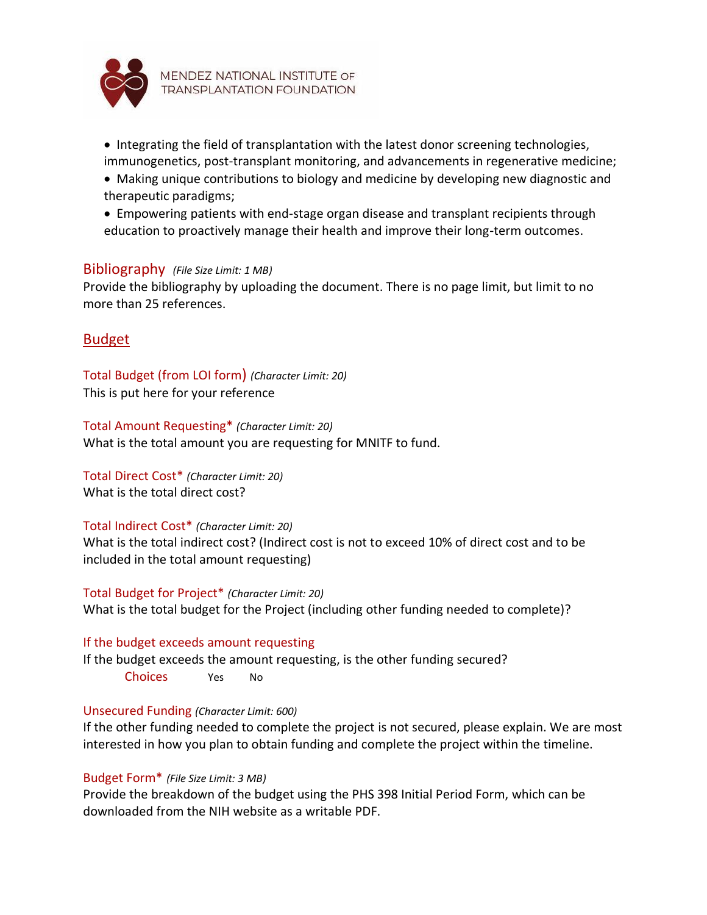

- Integrating the field of transplantation with the latest donor screening technologies, immunogenetics, post-transplant monitoring, and advancements in regenerative medicine;
- Making unique contributions to biology and medicine by developing new diagnostic and therapeutic paradigms;
- Empowering patients with end-stage organ disease and transplant recipients through education to proactively manage their health and improve their long-term outcomes.

### Bibliography *(File Size Limit: 1 MB)*

Provide the bibliography by uploading the document. There is no page limit, but limit to no more than 25 references.

## Budget

Total Budget (from LOI form) *(Character Limit: 20)* This is put here for your reference

Total Amount Requesting\* *(Character Limit: 20)* What is the total amount you are requesting for MNITF to fund.

Total Direct Cost\* *(Character Limit: 20)* What is the total direct cost?

### Total Indirect Cost\* *(Character Limit: 20)*

What is the total indirect cost? (Indirect cost is not to exceed 10% of direct cost and to be included in the total amount requesting)

Total Budget for Project\* *(Character Limit: 20)* What is the total budget for the Project (including other funding needed to complete)?

### If the budget exceeds amount requesting

If the budget exceeds the amount requesting, is the other funding secured? Choices Yes No

### Unsecured Funding *(Character Limit: 600)*

If the other funding needed to complete the project is not secured, please explain. We are most interested in how you plan to obtain funding and complete the project within the timeline.

### Budget Form\* *(File Size Limit: 3 MB)*

Provide the breakdown of the budget using the PHS 398 Initial Period Form, which can be downloaded from the NIH website as a writable PDF.